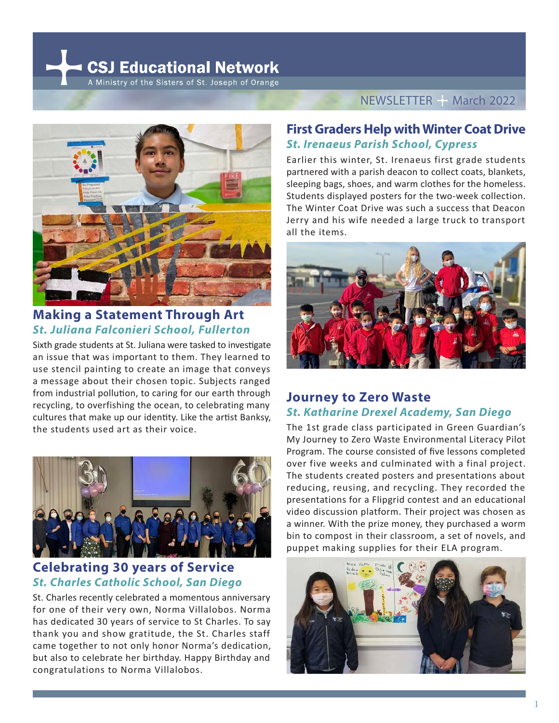**CSJ Educational Network** A Ministry of the Sisters of St. Joseph of Orange



# **Making a Statement Through Art**  *St. Juliana Falconieri School, Fullerton*

Sixth grade students at St. Juliana were tasked to investigate an issue that was important to them. They learned to use stencil painting to create an image that conveys a message about their chosen topic. Subjects ranged from industrial pollution, to caring for our earth through recycling, to overfishing the ocean, to celebrating many cultures that make up our identity. Like the artist Banksy, the students used art as their voice.



## **Celebrating 30 years of Service**  *St. Charles Catholic School, San Diego*

St. Charles recently celebrated a momentous anniversary for one of their very own, Norma Villalobos. Norma has dedicated 30 years of service to St Charles. To say thank you and show gratitude, the St. Charles staff came together to not only honor Norma's dedication, but also to celebrate her birthday. Happy Birthday and congratulations to Norma Villalobos.

#### NEWSLETTER - March 2022

### **First Graders Help with Winter Coat Drive**  *St. Irenaeus Parish School, Cypress*

Earlier this winter, St. Irenaeus first grade students partnered with a parish deacon to collect coats, blankets, sleeping bags, shoes, and warm clothes for the homeless. Students displayed posters for the two-week collection. The Winter Coat Drive was such a success that Deacon Jerry and his wife needed a large truck to transport all the items.



### **Journey to Zero Waste** *St. Katharine Drexel Academy, San Diego*

The 1st grade class participated in Green Guardian's My Journey to Zero Waste Environmental Literacy Pilot Program. The course consisted of five lessons completed over five weeks and culminated with a final project. The students created posters and presentations about reducing, reusing, and recycling. They recorded the presentations for a Flipgrid contest and an educational video discussion platform. Their project was chosen as a winner. With the prize money, they purchased a worm bin to compost in their classroom, a set of novels, and puppet making supplies for their ELA program.